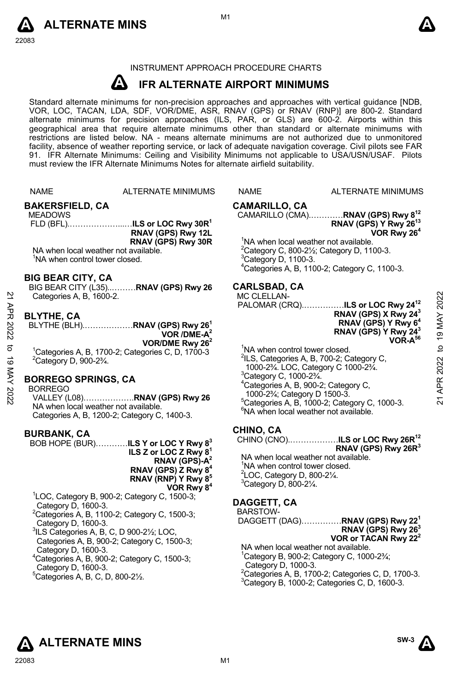



# INSTRUMENT APPROACH PROCEDURE CHARTS

#### **A IFR ALTERNATE AIRPORT MINIMUMS**

Standard alternate minimums for non-precision approaches and approaches with vertical guidance [NDB,<br>VOR, LOC, TACAN, LDA, SDF, VOR/DME, ASR, RNAV (GPS) or RNAV (RNP)] are 800-2. Standard<br>alternate minimums for precision a geographical area that require alternate minimums other than standard or alternate minimums with restrictions are listed below. NA - means alternate minimums are not authorized due to unmonitored facility, absence of weather reporting service, or lack of adequate navigation coverage. Civil pilots see FAR 91. IFR Alternate Minimums: Ceiling and Visibility Minimums not applicable to USA/USN/USAF. Pilots must review the IFR Alternate Minimums Notes for alternate airfield suitability.

|                  | <b>NAME</b>                                                                                                                                                                                                                                                        | ALTERNATE MINIMUMS                                                                                                                                                                                                                                  | <b>NAME</b>                                                                                                                                                                                      | <b>ALTERNATE MINIMUMS</b>                                                                                                                                                                                                                                                  |                                                |
|------------------|--------------------------------------------------------------------------------------------------------------------------------------------------------------------------------------------------------------------------------------------------------------------|-----------------------------------------------------------------------------------------------------------------------------------------------------------------------------------------------------------------------------------------------------|--------------------------------------------------------------------------------------------------------------------------------------------------------------------------------------------------|----------------------------------------------------------------------------------------------------------------------------------------------------------------------------------------------------------------------------------------------------------------------------|------------------------------------------------|
|                  | <b>BAKERSFIELD, CA</b><br><b>MEADOWS</b><br>NA when local weather not available.<br><sup>1</sup> NA when control tower closed.                                                                                                                                     | RNAV (GPS) Rwy 12L<br>RNAV (GPS) Rwy 30R                                                                                                                                                                                                            | <b>CAMARILLO, CA</b><br><sup>1</sup> NA when local weather not available.<br>$3$ Category D, 1100-3.                                                                                             | CAMARILLO (CMA)RNAV (GPS) Rwy 8 <sup>12</sup><br>RNAV (GPS) Y Rwy 26 <sup>13</sup><br>VOR Rwy 26 <sup>4</sup><br><sup>2</sup> Category C, 800-2 $\frac{1}{2}$ ; Category D, 1100-3.<br><sup>4</sup> Categories A, B, 1100-2; Category C, 1100-3.                           |                                                |
| APR 2022         | <b>BIG BEAR CITY, CA</b><br>Categories A, B, 1600-2.<br><b>BLYTHE, CA</b>                                                                                                                                                                                          | BIG BEAR CITY (L35)RNAV (GPS) Rwy 26<br>BLYTHE (BLH)RNAV (GPS) Rwy 26 <sup>1</sup>                                                                                                                                                                  | <b>CARLSBAD, CA</b><br><b>MC CLELLAN-</b>                                                                                                                                                        | PALOMAR (CRQ)ILS or LOC Rwy 24 <sup>12</sup><br>RNAV (GPS) X Rwy 24 <sup>3</sup><br>RNAV (GPS) Y Rwy 6 <sup>4</sup><br>RNAV (GPS) Y Rwy 24 <sup>3</sup>                                                                                                                    | 2022<br>19 MAY                                 |
| ಕ<br>19 MAY 2022 | $2$ Category D, 900-2 $\frac{3}{4}$ .<br><b>BORREGO SPRINGS, CA</b><br><b>BORREGO</b>                                                                                                                                                                              | VOR / DME-A <sup>2</sup><br>VOR/DME Rwy $262$<br><sup>1</sup> Categories A, B, 1700-2; Categories C, D, 1700-3<br>VALLEY (L08)RNAV (GPS) Rwy 26                                                                                                     | <sup>1</sup> NA when control tower closed.<br><sup>3</sup> Category C, 1000-2 <sup>3</sup> / <sub>4</sub> .<br><sup>4</sup> Categories A, B, 900-2; Category C,<br>1000-23/4; Category D 1500-3. | VOR-A <sup>56</sup><br><sup>2</sup> ILS, Categories A, B, 700-2; Category C,<br>1000-23/4. LOC, Category C 1000-23/4.<br>$5$ Categories A, B, 1000-2; Category C, 1000-3.                                                                                                  | $\mathbf{a}$<br>2022<br>APR.<br>$\overline{2}$ |
|                  | NA when local weather not available.<br><b>BURBANK, CA</b>                                                                                                                                                                                                         | Categories A, B, 1200-2; Category C, 1400-3.<br>BOB HOPE (BUR) <b>ILS Y or LOC Y Rwy 8</b> <sup>3</sup><br>ILS Z or LOC Z Rwy $8^1$<br>RNAV (GPS)- $A^2$                                                                                            | <sup>6</sup> NA when local weather not available.<br>CHINO, CA<br>NA when local weather not available.<br><sup>1</sup> NA when control tower closed.                                             | CHINO (CNO)ILS or LOC Rwy 26R <sup>12</sup><br>RNAV (GPS) Rwy 26R <sup>3</sup>                                                                                                                                                                                             |                                                |
|                  | Category D, 1600-3.<br>Category D, 1600-3.<br>$3$ ILS Categories A, B, C, D 900-2 $\frac{1}{2}$ ; LOC,<br>Category D, 1600-3.<br>$4$ Categories A, B, 900-2; Category C, 1500-3;<br>Category D, 1600-3.<br>$^{\circ}$ Categories A, B, C, D, 800-2 $\frac{1}{2}$ . | RNAV (GPS) Z Rwy 8 <sup>4</sup><br>RNAV (RNP) Y Rwy 8 <sup>5</sup><br>VOR Rwy 8 <sup>4</sup><br>$^1$ LOC, Category B, 900-2; Category C, 1500-3;<br>$2$ Categories A, B, 1100-2; Category C, 1500-3;<br>Categories A, B, 900-2; Category C, 1500-3; | $2$ LOC, Category D, 800-2 $\frac{1}{4}$ .<br>$3$ Category D, 800-2 $\frac{1}{4}$ .<br>DAGGETT, CA<br>BARSTOW-<br>NA when local weather not available.<br>Category D, 1000-3.                    | DAGGETT (DAG) <b>RNAV (GPS) Rwy 22<sup>1</sup></b><br>RNAV (GPS) Rwy 26 <sup>3</sup><br>VOR or TACAN Rwy 22 <sup>2</sup><br><sup>1</sup> Category B, 900-2; Category C, 1000-2 <sup>3</sup> / <sub>4</sub> ;<br>${}^{2}$ Categories A, B, 1700-2; Categories C, D, 1700-3. |                                                |
|                  |                                                                                                                                                                                                                                                                    |                                                                                                                                                                                                                                                     |                                                                                                                                                                                                  | <sup>3</sup> Category B, 1000-2; Categories C, D, 1600-3.                                                                                                                                                                                                                  |                                                |



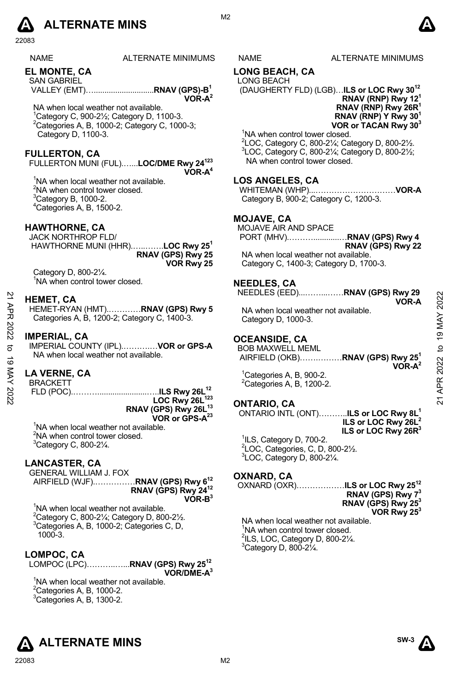# **A** ALTERNATE MINS  $\qquad \qquad \blacksquare$

22083

| <b>NAME</b> | <b>ALTERNATE MININ</b> |
|-------------|------------------------|
|             |                        |

**EL MONTE, CA** 

SAN GABRIEL VALLEY (EMT)…............................**RNAV (GPS)-B1** 

NA when local weather not available. 1 Category C, 900-2½; Category D, 1100-3.  $2$ Categories A, B, 1000-2; Category C, 1000-3; Category D, 1100-3.

# **FULLERTON, CA**

FULLERTON MUNI (FUL).…...**LOC/DME Rwy 24123 VOR-A4**

<sup>1</sup>NA when local weather not available. <sup>2</sup>NA when control tower closed.  ${}^{3}$ Category B, 1000-2. 4 Categories A, B, 1500-2.

# **HAWTHORNE, CA**

JACK NORTHROP FLD/ HAWTHORNE MUNI (HHR).…..…….**LOC Rwy 251 RNAV (GPS) Rwy 25 VOR Rwy 25** 

Category D, 800-2¼. <sup>1</sup>NA when control tower closed.

#### **HEMET, CA**

HEMET-RYAN (HMT).…………**RNAV (GPS) Rwy 5**  Categories A, B, 1200-2; Category C, 1400-3. **EMET, CA<br>
HEMET-RYAN (HMT).............RNAV (GPS) Rwy 5<br>
Categories A, B, 1200-2; Category C, 1400-3.<br>
MPERIAL, CA<br>
MPERIAL, CA<br>
MAY When local weather not available.<br>
MAY When LOUNTY (IPL)...............................** 

#### **IMPERIAL, CA**

IMPERIAL COUNTY (IPL).……….…**VOR or GPS-A**  NA when local weather not available.

# **LA VERNE, CA**

BRACKETT

 FLD (POC).……….......................…..**ILS Rwy 26L12 LOC Rwy 26L123 RNAV (GPS) Rwy 26L13 VOR or GPS-A23**

<sup>1</sup>NA when local weather not available.  $2$ NA when control tower closed.  ${}^{3}$ Category C, 800-2 $\frac{1}{4}$ .

#### **LANCASTER, CA**

GENERAL WILLIAM J. FOX AIRFIELD (WJF).……………**RNAV (GPS) Rwy 612**

**RNAV (GPS) Rwy 2412 VOR-B3**

<sup>1</sup>NA when local weather not available.  $2^2$ Category C, 800-21/<sub>4</sub>; Category D, 800-21/2. 3 Categories A, B, 1000-2; Categories C, D, 1000-3.

# **LOMPOC, CA**

LOMPOC (LPC)………..…...**RNAV (GPS) Rwy 2512 VOR/DME-A3**

<sup>1</sup>NA when local weather not available.  $2^2$ Categories A, B, 1000-2.  ${}^{3}$ Categories A, B, 1300-2.



# **LONG BEACH, CA**

LONG BEACH (DAUGHERTY FLD) (LGB)…**ILS or LOC Rwy 3012**

**RNAV (RNP) Rwy 121 RNAV (RNP) Rwy 26R1 RNAV (RNP) Y Rwy 301 VOR or TACAN Rwy 303**

<sup>1</sup>NA when control tower closed. 2 LOC, Category C, 800-2¼; Category D, 800-2½. 3 LOC, Category C, 800-2¼; Category D, 800-2½; NA when control tower closed.

# **LOS ANGELES, CA**

WHITEMAN (WHP)...…………………………**VOR-A**  Category B, 900-2; Category C, 1200-3.

#### **MOJAVE, CA**

MOJAVE AIR AND SPACE

 PORT (MHV).………............…**RNAV (GPS) Rwy 4 RNAV (GPS) Rwy 22** 

NA when local weather not available. Category C, 1400-3; Category D, 1700-3.

# **NEEDLES, CA**

NEEDLES (EED)...……...……**RNAV (GPS) Rwy 29 VOR-A** 

NA when local weather not available. Category D, 1000-3.

# **OCEANSIDE, CA**

BOB MAXWELL MEML AIRFIELD (OKB)…….………**RNAV (GPS) Rwy 251 VOR-A2** 

<sup>1</sup>Categories A, B, 900-2.  ${}^{2}$ Categories A, B, 1200-2.

# **ONTARIO, CA**

ONTARIO INTL (ONT)………..**ILS or LOC Rwy 8L1 ILS or LOC Rwy 26L2 ILS or LOC Rwy 26R3**

 $1$ ILS, Category D, 700-2. 2 LOC, Categories, C, D, 800-2½. 3 LOC, Category D, 800-2¼.

#### **OXNARD, CA**

OXNARD (OXR)………………**ILS or LOC Rwy 2512 RNAV (GPS) Rwy 73 RNAV (GPS) Rwy 253 VOR Rwy 253** 

NA when local weather not available. 1 NA when control tower closed.  $2$ ILS, LOC, Category D, 800-2 $\frac{1}{4}$ .  $3$ Category D, 800-2 $\frac{1}{4}$ .







**VOR-A2** 

M<sub>2</sub>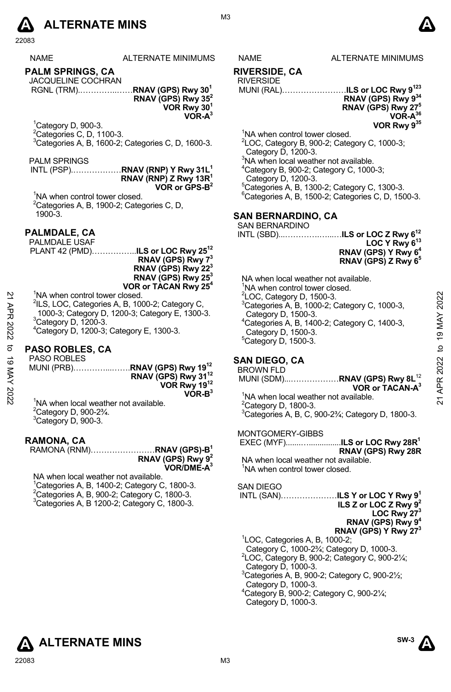

|             | 22083                                                        |                                                                                                                       |                                                                                    |                                                                                          |                    |
|-------------|--------------------------------------------------------------|-----------------------------------------------------------------------------------------------------------------------|------------------------------------------------------------------------------------|------------------------------------------------------------------------------------------|--------------------|
|             | <b>NAME</b>                                                  | <b>ALTERNATE MINIMUMS</b>                                                                                             | NAME                                                                               | <b>ALTERNATE MINIMUMS</b>                                                                |                    |
|             | <b>PALM SPRINGS, CA</b><br><b>JACQUELINE COCHRAN</b>         | RGNL (TRM)RNAV (GPS) Rwy 30 <sup>1</sup><br>RNAV (GPS) Rwy 35 <sup>2</sup>                                            | <b>RIVERSIDE, CA</b><br><b>RIVERSIDE</b>                                           | MUNI (RAL)ILS or LOC Rwy 9 <sup>123</sup><br>RNAV (GPS) Rwy 934                          |                    |
|             |                                                              | VOR Rwy 30 <sup>1</sup><br>$VOR-A3$                                                                                   |                                                                                    | RNAV (GPS) Rwy 27 <sup>5</sup><br>VOR-A <sup>36</sup>                                    |                    |
|             | ${}^{1}$ Category D, 900-3.                                  |                                                                                                                       |                                                                                    | VOR Rwy 935                                                                              |                    |
|             | <sup>2</sup> Categories C, D, 1100-3.                        |                                                                                                                       | <sup>1</sup> NA when control tower closed.                                         |                                                                                          |                    |
|             |                                                              | <sup>3</sup> Categories A, B, 1600-2; Categories C, D, 1600-3.                                                        | Category D, 1200-3.                                                                | ${}^{2}$ LOC, Category B, 900-2; Category C, 1000-3;                                     |                    |
|             | <b>PALM SPRINGS</b>                                          |                                                                                                                       | <sup>3</sup> NA when local weather not available.                                  |                                                                                          |                    |
|             |                                                              | INTL (PSP)RNAV (RNP) Y Rwy 31L <sup>1</sup><br>RNAV (RNP) Z Rwy 13R <sup>1</sup>                                      | <sup>4</sup> Category B, 900-2; Category C, 1000-3;<br>Category D, 1200-3.         |                                                                                          |                    |
|             |                                                              | VOR or $CPS-B^2$                                                                                                      |                                                                                    | <sup>5</sup> Categories A, B, 1300-2; Category C, 1300-3.                                |                    |
|             | <sup>1</sup> NA when control tower closed.                   |                                                                                                                       |                                                                                    | ${}^6$ Categories A, B, 1500-2; Categories C, D, 1500-3.                                 |                    |
|             |                                                              | <sup>2</sup> Categories A, B, 1900-2; Categories C, D,                                                                |                                                                                    |                                                                                          |                    |
|             | 1900-3.                                                      |                                                                                                                       | <b>SAN BERNARDINO, CA</b>                                                          |                                                                                          |                    |
|             |                                                              |                                                                                                                       | <b>SAN BERNARDINO</b>                                                              |                                                                                          |                    |
|             | PALMDALE, CA                                                 |                                                                                                                       |                                                                                    | INTL (SBD)ILS or LOC Z Rwy 6 <sup>12</sup>                                               |                    |
|             | PALMDALE USAF                                                | PLANT 42 (PMD) <b>ILS or LOC Rwy 25<sup>12</sup></b>                                                                  |                                                                                    | LOC Y Rwy 6 <sup>13</sup>                                                                |                    |
|             |                                                              | RNAV (GPS) Rwy 73                                                                                                     |                                                                                    | RNAV (GPS) Y Rwy 6 <sup>4</sup><br>RNAV (GPS) Z Rwy 6 <sup>5</sup>                       |                    |
|             |                                                              | RNAV (GPS) Rwy 22 <sup>3</sup><br>RNAV (GPS) Rwy 25 <sup>3</sup>                                                      |                                                                                    |                                                                                          |                    |
|             |                                                              | VOR or TACAN Rwy 25 <sup>4</sup>                                                                                      | NA when local weather not available.<br><sup>1</sup> NA when control tower closed. |                                                                                          |                    |
|             | <sup>1</sup> NA when control tower closed.                   |                                                                                                                       | <sup>2</sup> LOC, Category D, 1500-3.                                              |                                                                                          |                    |
|             |                                                              | <sup>2</sup> ILS, LOC, Categories A, B, 1000-2; Category C,                                                           |                                                                                    | <sup>3</sup> Categories A, B, 1000-2; Category C, 1000-3,                                | 2022               |
|             |                                                              | 1000-3; Category D, 1200-3; Category E, 1300-3.                                                                       | Category D, 1500-3.                                                                |                                                                                          |                    |
|             | <sup>3</sup> Category D, 1200-3.                             |                                                                                                                       |                                                                                    | <sup>4</sup> Categories A, B, 1400-2; Category C, 1400-3,                                |                    |
| 21 APR 2022 |                                                              | <sup>4</sup> Category D, 1200-3; Category E, 1300-3.                                                                  | Category D, 1500-3.<br>$5$ Category D, 1500-3.                                     |                                                                                          | APR 2022 to 19 MAY |
| đ           | PASO ROBLES, CA                                              |                                                                                                                       |                                                                                    |                                                                                          |                    |
|             | PASO ROBLES                                                  |                                                                                                                       | <b>SAN DIEGO, CA</b>                                                               |                                                                                          |                    |
| 19 MAY 2022 |                                                              | MUNI (PRB)RNAV (GPS) Rwy 19 <sup>12</sup>                                                                             | <b>BROWN FLD</b>                                                                   |                                                                                          |                    |
|             |                                                              | RNAV (GPS) Rwy 31 <sup>12</sup>                                                                                       |                                                                                    | MUNI (SDM)RNAV (GPS) Rwy 8L <sup>12</sup>                                                |                    |
|             |                                                              | VOR Rwy 1912<br>$VOR-B3$                                                                                              |                                                                                    | VOR or TACAN-A <sup>3</sup>                                                              |                    |
|             |                                                              | <sup>1</sup> NA when local weather not available.                                                                     | <sup>1</sup> NA when local weather not available.                                  |                                                                                          | $\overline{2}$     |
|             | <sup>2</sup> Category D, 900-2 <sup>3</sup> / <sub>4</sub> . |                                                                                                                       | <sup>2</sup> Category D, 1800-3.                                                   |                                                                                          |                    |
|             | <sup>3</sup> Category D, 900-3.                              |                                                                                                                       |                                                                                    | <sup>3</sup> Categories A, B, C, 900-2 <sup>3</sup> / <sub>4</sub> ; Category D, 1800-3. |                    |
|             |                                                              |                                                                                                                       | MONTGOMERY-GIBBS                                                                   |                                                                                          |                    |
|             | RAMONA, CA                                                   |                                                                                                                       |                                                                                    | EXEC (MYF)ILS or LOC Rwy 28R <sup>1</sup>                                                |                    |
|             |                                                              | RAMONA (RNM)RNAV (GPS)-B1                                                                                             |                                                                                    | RNAV (GPS) Rwy 28R                                                                       |                    |
|             |                                                              | RNAV (GPS) Rwy 9 <sup>2</sup>                                                                                         | NA when local weather not available.                                               |                                                                                          |                    |
|             |                                                              | VOR/DME-A <sup>3</sup>                                                                                                | <sup>1</sup> NA when control tower closed.                                         |                                                                                          |                    |
|             | NA when local weather not available.                         |                                                                                                                       |                                                                                    |                                                                                          |                    |
|             |                                                              | <sup>1</sup> Categories A, B, 1400-2; Category C, 1800-3.<br><sup>2</sup> Categories A, B, 900-2; Category C, 1800-3. | <b>SAN DIEGO</b>                                                                   | INTL (SAN)ILS Y or LOC Y Rwy 9 <sup>1</sup>                                              |                    |
|             |                                                              | <sup>3</sup> Categories A, B 1200-2; Category C, 1800-3.                                                              |                                                                                    | ILS Z or LOC Z Rwy $9^2$                                                                 |                    |
|             |                                                              |                                                                                                                       |                                                                                    | LOC Rwy <sup>273</sup>                                                                   |                    |
|             |                                                              |                                                                                                                       |                                                                                    | RNAV (GPS) Rwy 9 <sup>4</sup>                                                            |                    |
|             |                                                              |                                                                                                                       |                                                                                    | RNAV (GPS) Y Rwy 27 <sup>3</sup>                                                         |                    |
|             |                                                              |                                                                                                                       | <sup>1</sup> LOC, Categories A, B, 1000-2;                                         |                                                                                          |                    |
|             |                                                              |                                                                                                                       |                                                                                    | Category C, 1000-23/4; Category D, 1000-3.                                               |                    |
|             |                                                              |                                                                                                                       |                                                                                    | $2$ LOC, Category B, 900-2; Category C, 900-2 $\frac{1}{4}$ ;                            |                    |
|             |                                                              |                                                                                                                       | Category D, 1000-3.                                                                |                                                                                          |                    |
|             |                                                              |                                                                                                                       | $C_{\text{atom}} \cap 1000.3$                                                      | $3$ Categories A, B, 900-2; Category C, 900-2 $\frac{1}{2}$ ;                            |                    |
|             |                                                              |                                                                                                                       |                                                                                    |                                                                                          |                    |



#### **RIVERSIDE, CA**

#### **RIVERSIDE**

#### **SAN BERNARDINO, CA**

| SAN BERNARDINO                                                                                                     | EXECUTIVE 1<br>EXECUTIVE 13<br>RNAV (GPS) Y Rwy 6 <sup>4</sup><br>RNAV (GPS) Z Rwy 6 <sup>5</sup> |
|--------------------------------------------------------------------------------------------------------------------|---------------------------------------------------------------------------------------------------|
| NA when local weather not available.<br><sup>1</sup> NA when control tower closed.<br>$2$ LOC, Category D, 1500-3. |                                                                                                   |

#### **SAN DIEGO, CA**

#### BROWN FLD MUNI (SDM)...………………**RNAV (GPS) Rwy 8L**<sup>12</sup> **VOR or TACAN-A3**

#### MONTGOMERY-GIBBS

#### SAN DIEGO

| ILS Z or LOC Z Rwy $9^2$                                             |
|----------------------------------------------------------------------|
| LOC Rwy $273$                                                        |
| RNAV (GPS) Rwy 9 <sup>4</sup>                                        |
| RNAV (GPS) Y Rwy 27 <sup>3</sup>                                     |
| <sup>1</sup> LOC, Categories A, B, 1000-2;                           |
| Category C, 1000-2 <sup>3</sup> / <sub>4</sub> ; Category D, 1000-3. |
| <sup>2</sup> LOC, Category B, 900-2; Category C, 900-21/4;           |

- Category D, 1000-3.
- $3$ Categories A, B, 900-2; Category C, 900-2 $\frac{1}{2}$ ;
- Category D, 1000-3.
- 4 Category B, 900-2; Category C, 900-2¼; Category D, 1000-3.

**SW-3** 

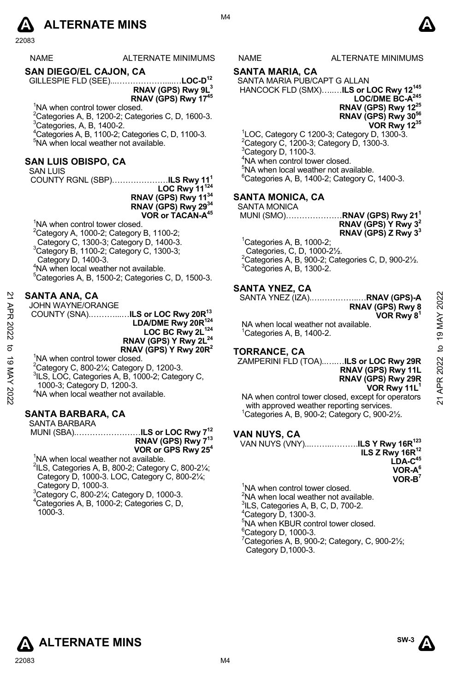

22083

| <b>NAME</b> | ALTERNATE MINIMUM |
|-------------|-------------------|
|             |                   |

**SAN DIEGO/EL CAJON, CA** 

GILLESPIE FLD (SEE)...………………....…**LOC-D12 RNAV (GPS) Rwy 9L3 RNAV (GPS) Rwy 1745** 

<sup>1</sup>NA when control tower closed.

 $^{2}$ Categories A, B, 1200-2; Categories C, D, 1600-3.  ${}^{3}$ Categories, A, B, 1400-2.

4 Categories A, B, 1100-2; Categories C, D, 1100-3. 5 NA when local weather not available.

# **SAN LUIS OBISPO, CA**

SAN LUIS

COUNTY RGNL (SBP)…………………**ILS Rwy 111 LOC Rwy 11124 RNAV (GPS) Rwy 1134** 

**RNAV (GPS) Rwy 2934 VOR or TACAN-A45**

<sup>1</sup>NA when control tower closed. <sup>2</sup>Category A, 1000-2; Category B, 1100-2; Category C, 1300-3; Category D, 1400-3. <sup>3</sup>Category B, 1100-2; Category C, 1300-3; Category D, 1400-3. 4 NA when local weather not available.  $5$ Categories A, B, 1500-2; Categories C, D, 1500-3.

#### **SANTA ANA, CA**

JOHN WAYNE/ORANGE

 COUNTY (SNA).………...…**ILS or LOC Rwy 20R13 LDA/DME Rwy 20R124**  LOC BC Rwy 2L<sup>124</sup> **RNAV (GPS) Y Rwy 2L<sup>24</sup> RNAV (GPS) Y Rwy 20R2**  21 APR 2022 to 19 MAY 202221 APR 2022 to 19 MAY 2022

<sup>1</sup>NA when control tower closed.

 $^{2}$ Category C, 800-21⁄4; Category D, 1200-3.

<sup>3</sup>ILS, LOC, Categories A, B, 1000-2; Category C,

1000-3; Category D, 1200-3.

4 NA when local weather not available.

# **SANTA BARBARA, CA**

SANTA BARBARA MUNI (SBA).……………………**ILS or LOC Rwy 712**

**RNAV (GPS) Rwy 713 VOR or GPS Rwy 254** 

<sup>1</sup>NA when local weather not available.

 $2$ ILS, Categories A, B, 800-2; Category C, 800-2 $\frac{1}{4}$ ; Category D, 1000-3. LOC, Category C, 800-2¼; Category D, 1000-3.

3 Category C, 800-2¼; Category D, 1000-3. 4 Categories A, B, 1000-2; Categories C, D, 1000-3.

S NAME ALTERNATE MINIMUMS

#### **SANTA MARIA, CA**

SANTA MARIA PUB/CAPT G ALLAN HANCOCK FLD (SMX)…..…**ILS or LOC Rwy 12145** 

LOC/DME BC-A<sup>245</sup> **RNAV (GPS) Rwy 1225 RNAV (GPS) Rwy 3056 VOR Rwy 1235** 

 LOC, Category C 1200-3; Category D, 1300-3. <sup>2</sup>Category C, 1200-3; Category D, 1300-3.<br><sup>3</sup>Category D, 1100-3. NA when control tower closed. NA when local weather not available. Categories A, B, 1400-2; Category C, 1400-3.

#### **SANTA MONICA, CA**

SANTA MONICA

- MUNI (SMO)…………………**RNAV (GPS) Rwy 211 RNAV (GPS) Y Rwy 32 RNAV (GPS) Z Rwy 33**
- ${}^{1}$ Categories A, B, 1000-2;
- Categories, C, D, 1000-2½.  $^{2}$ Categories A, B, 900-2; Categories C, D, 900-2½.  ${}^{3}$ Categories A, B, 1300-2.

#### **SANTA YNEZ, CA**

SANTA YNEZ (IZA).….…………..…**RNAV (GPS)-A** 

**RNAV (GPS) Rwy 8 VOR Rwy 81** 

**RNAV (GPS) Rwy 11L RNAV (GPS) Rwy 29R**

NA when local weather not available.  $1$ <sup>1</sup>Categories A, B, 1400-2.

#### **TORRANCE, CA**

ZAMPERINI FLD (TOA)..….…**ILS or LOC Rwy 29R**

**VOR Rwy 11L1** NA when control tower closed, except for operators with approved weather reporting services. 1 Categories A, B, 900-2; Category C, 900-2½.

# **VAN NUYS, CA**

VAN NUYS (VNY)...……..……….**ILS Y Rwy 16R123 ILS Z Rwy 16R12 LDA-C45 VOR-A6 VOR-B7** 

<sup>1</sup>NA when control tower closed. <sup>2</sup>NA when local weather not available.  $^{3}$ ILS, Categories A, B, C, D, 700-2.  $4$ Category D, 1300-3. 5 NA when KBUR control tower closed. <sup>6</sup>Category D, 1000-3.  $7$ Categories A, B, 900-2; Category, C, 900-2 $\frac{1}{2}$ ; Category D,1000-3.